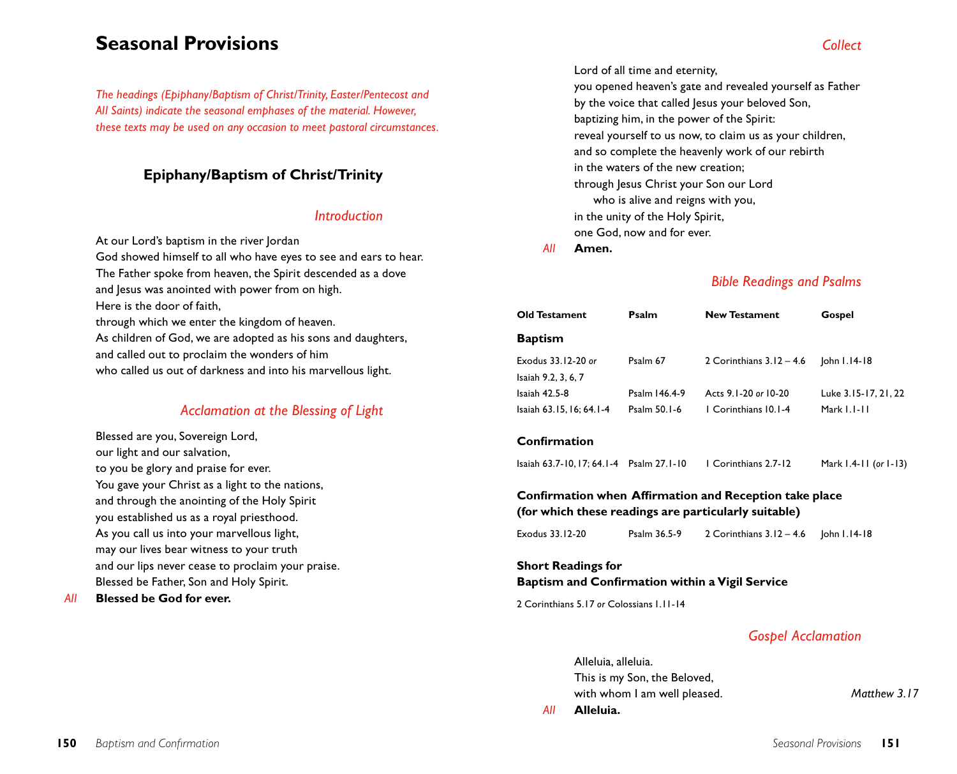# **Seasonal Provisions**

*The headings (Epiphany/Baptism of Christ/Trinity, Easter/Pentecost and All Saints) indicate the seasonal emphases of the material. However, these texts may be used on any occasion to meet pastoral circumstances.*

## **Epiphany/Baptism of Christ/Trinity**

#### *Introduction*

At our Lord's baptism in the river Jordan God showed himself to all who have eyes to see and ears to hear. The Father spoke from heaven, the Spirit descended as a dove and Jesus was anointed with power from on high. Here is the door of faith, through which we enter the kingdom of heaven. As children of God, we are adopted as his sons and daughters, and called out to proclaim the wonders of him who called us out of darkness and into his marvellous light.

## *Acclamation at the Blessing of Light*

Blessed are you, Sovereign Lord, our light and our salvation, to you be glory and praise for ever. You gave your Christ as a light to the nations, and through the anointing of the Holy Spirit you established us as a royal priesthood. As you call us into your marvellous light, may our lives bear witness to your truth and our lips never cease to proclaim your praise. Blessed be Father, Son and Holy Spirit.

*All* **Blessed be God for ever.**

*Collect*

Lord of all time and eternity, you opened heaven's gate and revealed yourself as Father by the voice that called lesus your beloved Son, baptizing him, in the power of the Spirit: reveal yourself to us now, to claim us as your children, and so complete the heavenly work of our rebirth in the waters of the new creation; through Jesus Christ your Son our Lord who is alive and reigns with you, in the unity of the Holy Spirit, one God, now and for ever.

*All* **Amen.**

### *Bible Readings and Psalms*

| <b>Old Testament</b>     | Psalm         | <b>New Testament</b>       | Gospel               |
|--------------------------|---------------|----------------------------|----------------------|
| <b>Baptism</b>           |               |                            |                      |
| Exodus 33.12-20 or       | Psalm 67      | 2 Corinthians $3.12 - 4.6$ | lohn 1.14-18         |
| Isaiah 9.2, 3, 6, 7      |               |                            |                      |
| Isaiah 42.5-8            | Psalm 146.4-9 | Acts 9.1-20 or 10-20       | Luke 3.15-17, 21, 22 |
| Isaiah 63.15, 16; 64.1-4 | Psalm 50.1-6  | L Corinthians 10.1-4       | Mark 1.1-11          |

#### **Confirmation**

| Isaiah 63.7-10, 17; 64.1-4 Psalm 27.1-10 |  | 1 Corinthians 2.7-12 | Mark 1.4-11 (or 1-13) |  |
|------------------------------------------|--|----------------------|-----------------------|--|
|------------------------------------------|--|----------------------|-----------------------|--|

### **Confirmation when Affirmation and Reception take place (for which these readings are particularly suitable)**

| Exodus 33.12-20<br>Psalm 36.5-9 | 2 Corinthians $3.12 - 4.6$ | John I.14-18 |
|---------------------------------|----------------------------|--------------|
|---------------------------------|----------------------------|--------------|

#### **Short Readings for Baptism and Confirmation within a Vigil Service**

2 Corinthians 5.17 *or* Colossians 1.11-14

### *Gospel Acclamation*

Alleluia, alleluia. This is my Son, the Beloved, with whom I am well pleased. *Matthew 3.17*

*All* **Alleluia.**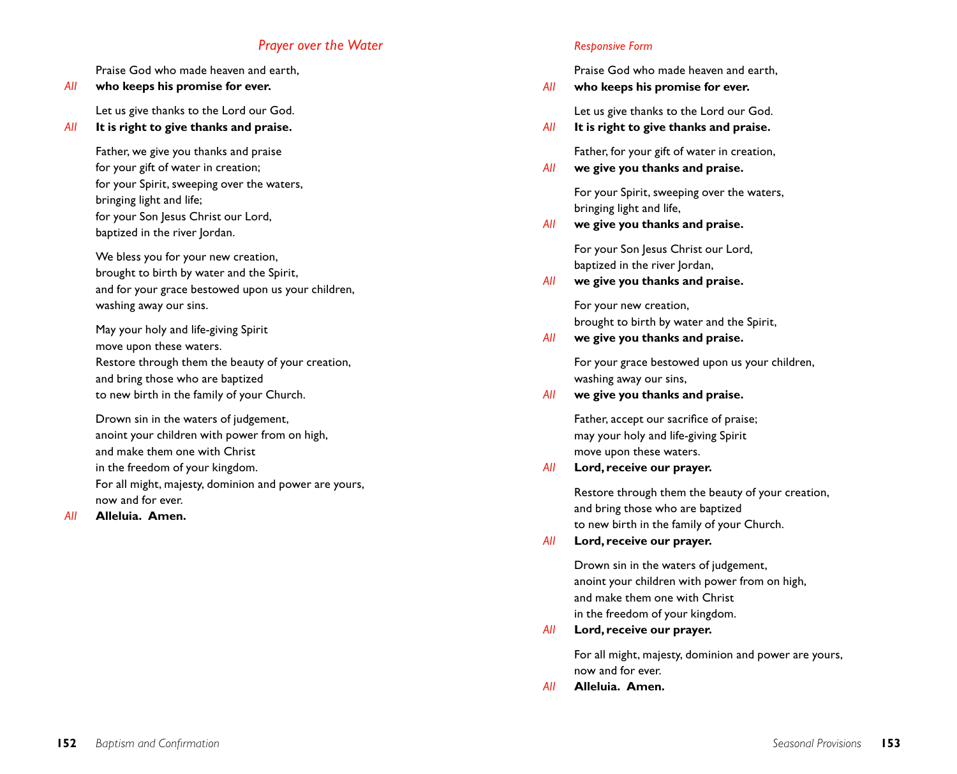## *Prayer over the Water*

Praise God who made heaven and earth,

*All* **who keeps his promise for ever.**

Let us give thanks to the Lord our God.

*All* **It is right to give thanks and praise.**

Father, we give you thanks and praise for your gift of water in creation; for your Spirit, sweeping over the waters, bringing light and life; for your Son Jesus Christ our Lord, baptized in the river Jordan.

We bless you for your new creation, brought to birth by water and the Spirit, and for your grace bestowed upon us your children, washing away our sins.

May your holy and life-giving Spirit move upon these waters. Restore through them the beauty of your creation, and bring those who are baptized to new birth in the family of your Church.

Drown sin in the waters of judgement, anoint your children with power from on high, and make them one with Christ in the freedom of your kingdom. For all might, majesty, dominion and power are yours, now and for ever.

*All* **Alleluia. Amen.**

### *Responsive Form*

Praise God who made heaven and earth,

*All* **who keeps his promise for ever.**

Let us give thanks to the Lord our God.

*All* **It is right to give thanks and praise.**

Father, for your gift of water in creation,

*All* **we give you thanks and praise.**

For your Spirit, sweeping over the waters, bringing light and life,

*All* **we give you thanks and praise.**

For your Son Jesus Christ our Lord, baptized in the river Jordan,

*All* **we give you thanks and praise.**

For your new creation, brought to birth by water and the Spirit,

*All* **we give you thanks and praise.**

For your grace bestowed upon us your children, washing away our sins,

*All* **we give you thanks and praise.**

Father, accept our sacrifice of praise; may your holy and life-giving Spirit move upon these waters.

*All* **Lord, receive our prayer.**

Restore through them the beauty of your creation, and bring those who are baptized to new birth in the family of your Church.

*All* **Lord, receive our prayer.**

Drown sin in the waters of judgement, anoint your children with power from on high, and make them one with Christ in the freedom of your kingdom.

*All* **Lord, receive our prayer.**

For all might, majesty, dominion and power are yours, now and for ever.

*All* **Alleluia. Amen.**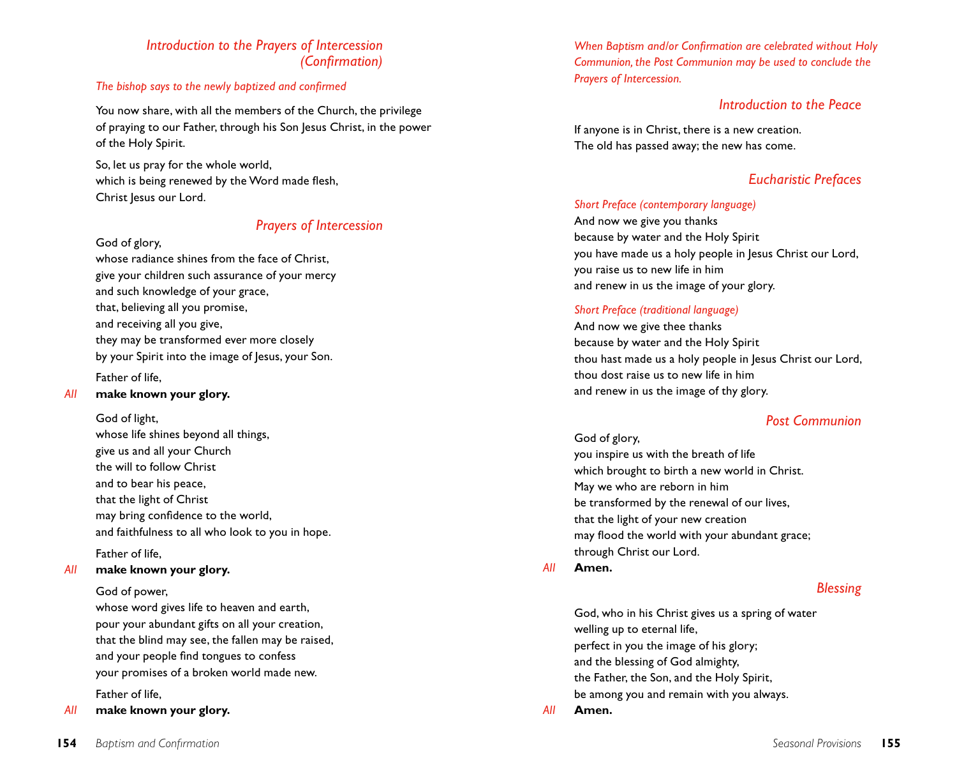## *Introduction to the Prayers of Intercession (Confirmation)*

#### *The bishop says to the newly baptized and confirmed*

You now share, with all the members of the Church, the privilege of praying to our Father, through his Son Jesus Christ, in the power of the Holy Spirit.

So, let us pray for the whole world, which is being renewed by the Word made flesh, Christ Jesus our Lord.

### *Prayers of Intercession*

#### God of glory,

whose radiance shines from the face of Christ, give your children such assurance of your mercy and such knowledge of your grace, that, believing all you promise, and receiving all you give, they may be transformed ever more closely by your Spirit into the image of Jesus, your Son.

Father of life,

#### *All* **make known your glory.**

God of light,

whose life shines beyond all things, give us and all your Church the will to follow Christ and to bear his peace, that the light of Christ may bring confidence to the world, and faithfulness to all who look to you in hope. Father of life,

# *All* **make known your glory.**

## God of power,

whose word gives life to heaven and earth, pour your abundant gifts on all your creation, that the blind may see, the fallen may be raised, and your people find tongues to confess your promises of a broken world made new.

Father of life,

*All* **make known your glory.**

*When Baptism and/or Confirmation are celebrated without Holy Communion, the Post Communion may be used to conclude the Prayers of Intercession.*

### *Introduction to the Peace*

If anyone is in Christ, there is a new creation. The old has passed away; the new has come.

## *Eucharistic Prefaces*

#### *Short Preface (contemporary language)*

And now we give you thanks because by water and the Holy Spirit you have made us a holy people in Jesus Christ our Lord, you raise us to new life in him and renew in us the image of your glory.

#### *Short Preface (traditional language)*

And now we give thee thanks because by water and the Holy Spirit thou hast made us a holy people in Jesus Christ our Lord, thou dost raise us to new life in him and renew in us the image of thy glory.

## *Post Communion*

## God of glory, you inspire us with the breath of life which brought to birth a new world in Christ. May we who are reborn in him be transformed by the renewal of our lives, that the light of your new creation may flood the world with your abundant grace; through Christ our Lord.

#### *All* **Amen.**

### *Blessing*

God, who in his Christ gives us a spring of water welling up to eternal life, perfect in you the image of his glory; and the blessing of God almighty, the Father, the Son, and the Holy Spirit, be among you and remain with you always. *All* **Amen.**

**154** *Baptism and Confirmation*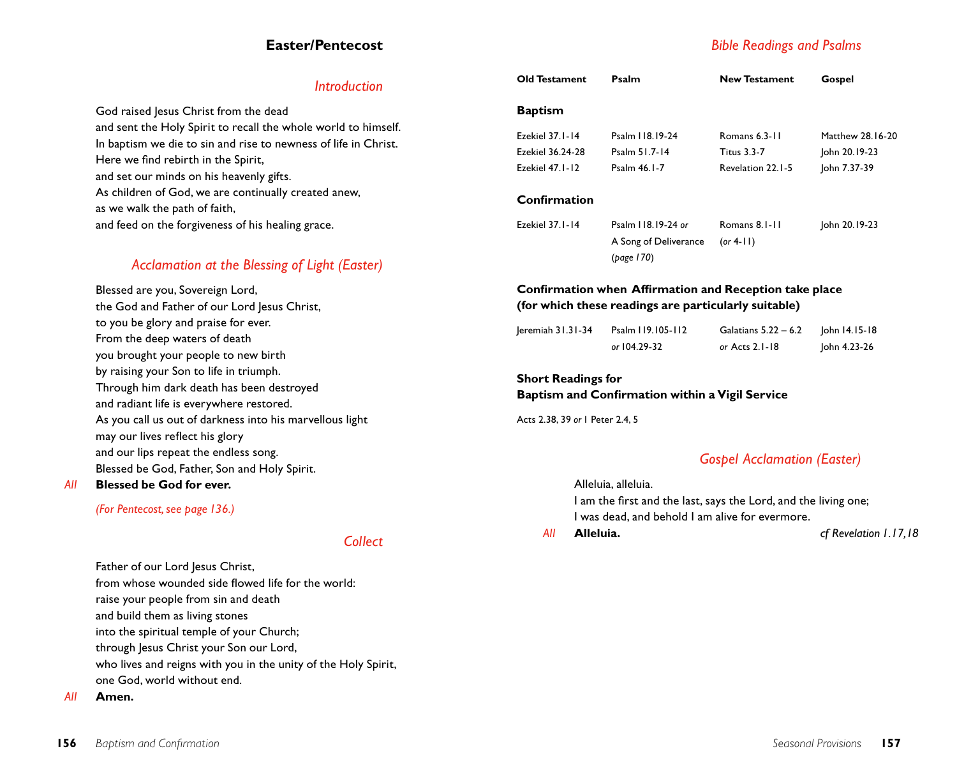## **Easter/Pentecost**

## *Bible Readings and Psalms*

#### *Introduction*

God raised Jesus Christ from the dead and sent the Holy Spirit to recall the whole world to himself. In baptism we die to sin and rise to newness of life in Christ. Here we find rebirth in the Spirit, and set our minds on his heavenly gifts. As children of God, we are continually created anew, as we walk the path of faith, and feed on the forgiveness of his healing grace.

## *Acclamation at the Blessing of Light (Easter)*

Blessed are you, Sovereign Lord, the God and Father of our Lord Jesus Christ, to you be glory and praise for ever. From the deep waters of death you brought your people to new birth by raising your Son to life in triumph. Through him dark death has been destroyed and radiant life is everywhere restored. As you call us out of darkness into his marvellous light may our lives reflect his glory and our lips repeat the endless song. Blessed be God, Father, Son and Holy Spirit.

#### *All* **Blessed be God for ever.**

*(For Pentecost, see page 136.)*

### *Collect*

Father of our Lord Jesus Christ, from whose wounded side flowed life for the world: raise your people from sin and death and build them as living stones into the spiritual temple of your Church; through Jesus Christ your Son our Lord, who lives and reigns with you in the unity of the Holy Spirit, one God, world without end.

*All* **Amen.**

| <b>Old Testament</b> | Psalm                                                        | <b>New Testament</b>       | Gospel           |
|----------------------|--------------------------------------------------------------|----------------------------|------------------|
| <b>Baptism</b>       |                                                              |                            |                  |
| Ezekiel 37.1-14      | Psalm 118.19-24                                              | Romans 6.3-11              | Matthew 28.16-20 |
| Ezekiel 36.24-28     | Psalm 51.7-14                                                | <b>Titus 3.3-7</b>         | John 20.19-23    |
| Ezekiel 47.1-12      | Psalm 46.1-7                                                 | Revelation 22.1-5          | John 7.37-39     |
| Confirmation         |                                                              |                            |                  |
| Ezekiel 37.1-14      | Psalm 118.19-24 or<br>A Song of Deliverance<br>(page $170$ ) | Romans 8.1-11<br>(or 4-11) | John 20.19-23    |

### **Confirmation when Affirmation and Reception take place (for which these readings are particularly suitable)**

| Jeremiah 31.31-34 | Psalm 119.105-112 | Galatians 5.22 – 6.2 | John 14.15-18 |
|-------------------|-------------------|----------------------|---------------|
|                   | or 104.29-32      | or Acts 2.1-18       | John 4.23-26  |

#### **Short Readings for Baptism and Confirmation within a Vigil Service**

Acts 2.38, 39 *or* 1 Peter 2.4, 5

## *Gospel Acclamation (Easter)*

Alleluia, alleluia. I am the first and the last, says the Lord, and the living one; I was dead, and behold I am alive for evermore.

*All* **Alleluia.** *cf Revelation 1.17,18*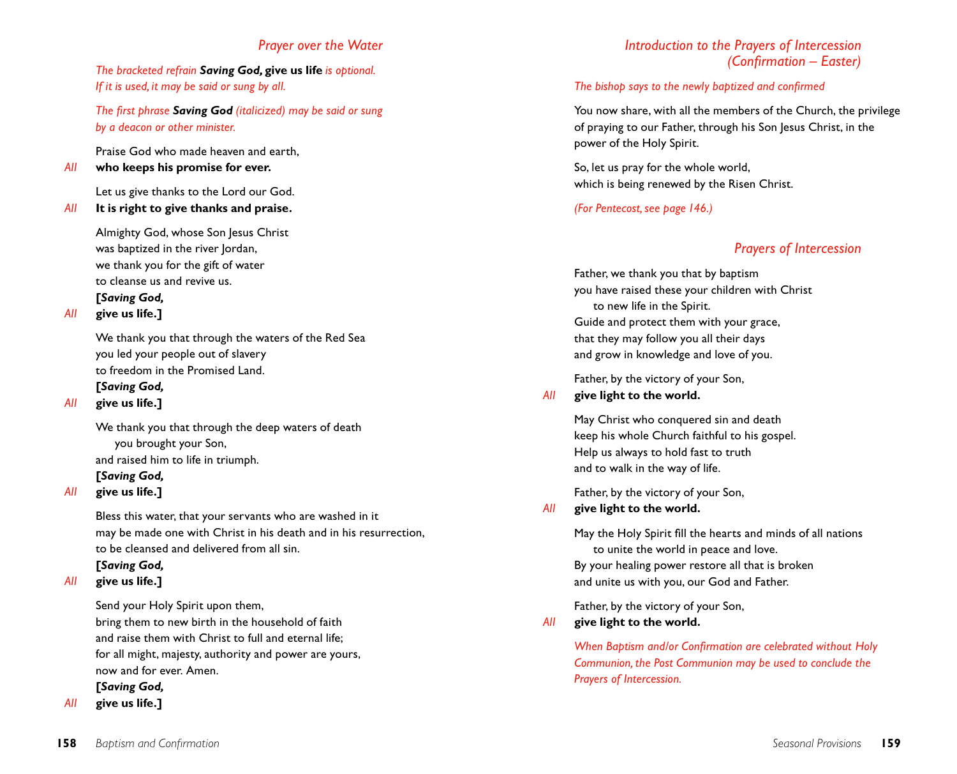## *Prayer over the Water*

*The bracketed refrain Saving God,* **give us life** *is optional. If it is used, it may be said or sung by all.*

*The first phrase Saving God (italicized) may be said or sung by a deacon or other minister.*

Praise God who made heaven and earth,

*All* **who keeps his promise for ever.**

Let us give thanks to the Lord our God.

*All* **It is right to give thanks and praise.**

Almighty God, whose Son Jesus Christ was baptized in the river Jordan, we thank you for the gift of water to cleanse us and revive us.

### **[***Saving God,*

### *All* **give us life.]**

We thank you that through the waters of the Red Sea you led your people out of slavery to freedom in the Promised Land.

**[***Saving God,*

### *All* **give us life.]**

We thank you that through the deep waters of death you brought your Son, and raised him to life in triumph.

### **[***Saving God,*

### *All* **give us life.]**

Bless this water, that your servants who are washed in it may be made one with Christ in his death and in his resurrection, to be cleansed and delivered from all sin.

### **[***Saving God,*

*All* **give us life.]**

Send your Holy Spirit upon them, bring them to new birth in the household of faith and raise them with Christ to full and eternal life; for all might, majesty, authority and power are yours, now and for ever. Amen.

### **[***Saving God,*

*All* **give us life.]**

## *Introduction to the Prayers of Intercession (Confirmation – Easter)*

### *The bishop says to the newly baptized and confirmed*

You now share, with all the members of the Church, the privilege of praying to our Father, through his Son Jesus Christ, in the power of the Holy Spirit.

So, let us pray for the whole world, which is being renewed by the Risen Christ.

*(For Pentecost, see page 146.)*

## *Prayers of Intercession*

Father, we thank you that by baptism you have raised these your children with Christ to new life in the Spirit. Guide and protect them with your grace, that they may follow you all their days and grow in knowledge and love of you.

Father, by the victory of your Son,

### *All* **give light to the world.**

May Christ who conquered sin and death keep his whole Church faithful to his gospel. Help us always to hold fast to truth and to walk in the way of life.

Father, by the victory of your Son,

### *All* **give light to the world.**

May the Holy Spirit fill the hearts and minds of all nations to unite the world in peace and love. By your healing power restore all that is broken and unite us with you, our God and Father.

Father, by the victory of your Son,

#### *All* **give light to the world.**

*When Baptism and/or Confirmation are celebrated without Holy Communion, the Post Communion may be used to conclude the Prayers of Intercession.*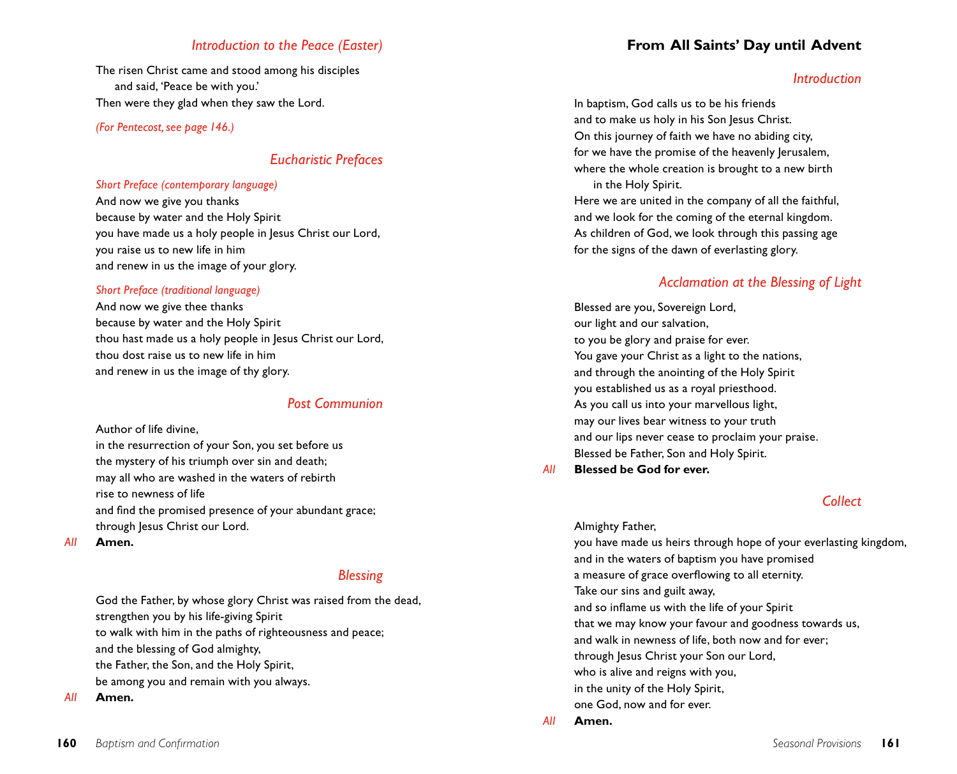### *Introduction to the Peace (Easter)*

The risen Christ came and stood among his disciples and said, 'Peace be with you.' Then were they glad when they saw the Lord.

*(For Pentecost, see page 146.)*

### *Eucharistic Prefaces*

#### *Short Preface (contemporary language)*

And now we give you thanks because by water and the Holy Spirit you have made us a holy people in Jesus Christ our Lord, you raise us to new life in him and renew in us the image of your glory.

#### *Short Preface (traditional language)*

And now we give thee thanks because by water and the Holy Spirit thou hast made us a holy people in Jesus Christ our Lord, thou dost raise us to new life in him and renew in us the image of thy glory.

### *Post Communion*

Author of life divine, in the resurrection of your Son, you set before us the mystery of his triumph over sin and death; may all who are washed in the waters of rebirth rise to newness of life and find the promised presence of your abundant grace; through Jesus Christ our Lord.

*All* **Amen.**

### *Blessing*

God the Father, by whose glory Christ was raised from the dead, strengthen you by his life-giving Spirit to walk with him in the paths of righteousness and peace; and the blessing of God almighty, the Father, the Son, and the Holy Spirit, be among you and remain with you always.

*All* **Amen.**

## **From All Saints' Day until Advent**

#### *Introduction*

In baptism, God calls us to be his friends and to make us holy in his Son Jesus Christ. On this journey of faith we have no abiding city, for we have the promise of the heavenly lerusalem, where the whole creation is brought to a new birth in the Holy Spirit.

Here we are united in the company of all the faithful, and we look for the coming of the eternal kingdom. As children of God, we look through this passing age for the signs of the dawn of everlasting glory.

### *Acclamation at the Blessing of Light*

Blessed are you, Sovereign Lord, our light and our salvation, to you be glory and praise for ever. You gave your Christ as a light to the nations, and through the anointing of the Holy Spirit you established us as a royal priesthood. As you call us into your marvellous light, may our lives bear witness to your truth and our lips never cease to proclaim your praise. Blessed be Father, Son and Holy Spirit.

*All* **Blessed be God for ever.**

## *Collect*

#### Almighty Father,

you have made us heirs through hope of your everlasting kingdom, and in the waters of baptism you have promised a measure of grace overflowing to all eternity. Take our sins and guilt away, and so inflame us with the life of your Spirit that we may know your favour and goodness towards us, and walk in newness of life, both now and for ever; through Jesus Christ your Son our Lord, who is alive and reigns with you, in the unity of the Holy Spirit, one God, now and for ever.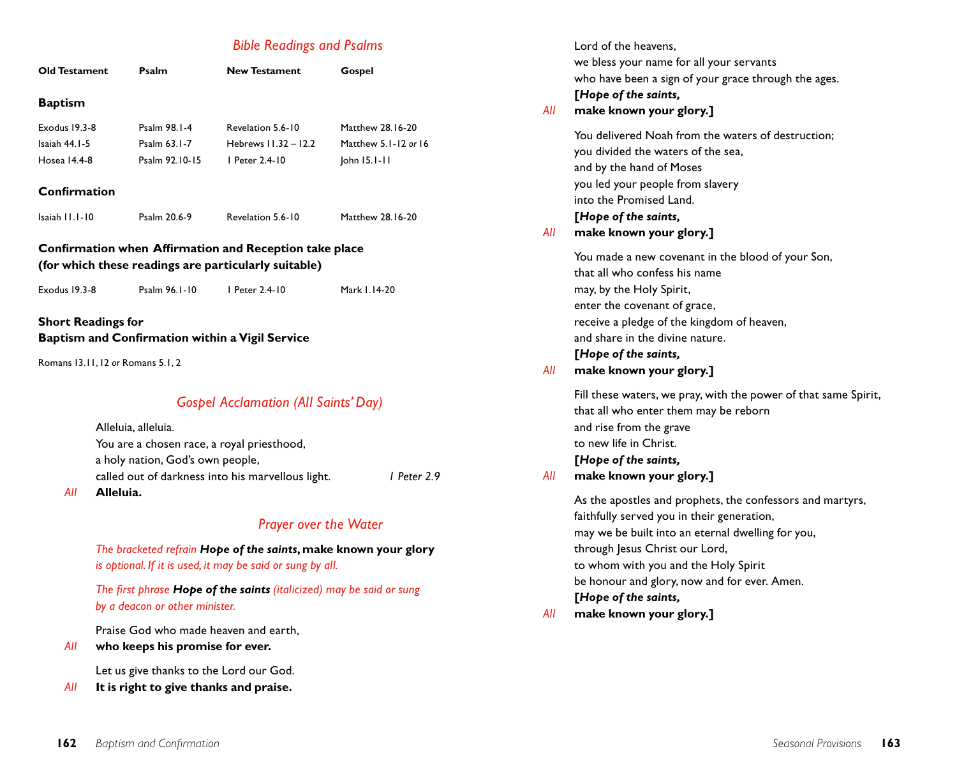## *Bible Readings and Psalms*

| Old Testament                     | Psalm                            | <b>New Testament</b>                                                                                           | Gospel               |
|-----------------------------------|----------------------------------|----------------------------------------------------------------------------------------------------------------|----------------------|
| Baptism                           |                                  |                                                                                                                |                      |
| Exodus 19.3-8                     | Psalm 98.1-4                     | Revelation 5.6-10                                                                                              | Matthew 28.16-20     |
| Isaiah 44.1-5                     | Psalm 63.1-7                     | Hebrews 11.32 - 12.2                                                                                           | Matthew 5.1-12 or 16 |
| Hosea 14.4-8                      | Psalm 92.10-15                   | I Peter 2.4-10                                                                                                 | John 15.1-11         |
| Confirmation                      |                                  |                                                                                                                |                      |
| Isaiah II.I-I0                    | Psalm 20.6-9                     | Revelation 5.6-10                                                                                              | Matthew 28.16-20     |
|                                   |                                  | Confirmation when Affirmation and Reception take place<br>(for which these readings are particularly suitable) |                      |
| Exodus 19.3-8                     | Psalm 96.1-10                    | I Peter 2.4-10                                                                                                 | Mark 1.14-20         |
| Short Readings for                |                                  | Baptism and Confirmation within a Vigil Service                                                                |                      |
| Romans 13.11, 12 or Romans 5.1, 2 |                                  |                                                                                                                |                      |
|                                   |                                  | <b>Gospel Acclamation (All Saints' Day)</b>                                                                    |                      |
|                                   | Alleluia, alleluia.              |                                                                                                                |                      |
|                                   |                                  | You are a chosen race, a royal priesthood,                                                                     |                      |
|                                   | a holy nation, God's own people, |                                                                                                                |                      |
|                                   |                                  | called out of darkness into his marvellous light.                                                              | I Peter 2.9          |

*All* **Alleluia.**

## *Prayer over the Water*

*The bracketed refrain Hope of the saints***, make known your glory** *is optional. If it is used, it may be said or sung by all.*

*The first phrase Hope of the saints (italicized) may be said or sung by a deacon or other minister.*

Praise God who made heaven and earth,

*All* **who keeps his promise for ever.**

Let us give thanks to the Lord our God.

*All* **It is right to give thanks and praise.**

| All | Lord of the heavens,<br>we bless your name for all your servants<br>who have been a sign of your grace through the ages.<br>[Hope of the saints,<br>make known your glory.]                                                                                                                                    |
|-----|----------------------------------------------------------------------------------------------------------------------------------------------------------------------------------------------------------------------------------------------------------------------------------------------------------------|
| All | You delivered Noah from the waters of destruction;<br>you divided the waters of the sea,<br>and by the hand of Moses<br>you led your people from slavery<br>into the Promised Land.<br>[Hope of the saints,<br>make known your glory.]                                                                         |
| All | You made a new covenant in the blood of your Son,<br>that all who confess his name<br>may, by the Holy Spirit,<br>enter the covenant of grace,<br>receive a pledge of the kingdom of heaven,<br>and share in the divine nature.<br>[Hope of the saints,<br>make known your glory.]                             |
| All | Fill these waters, we pray, with the power of that same Spirit,<br>that all who enter them may be reborn<br>and rise from the grave<br>to new life in Christ.<br>[Hope of the saints,<br>make known your glory.]                                                                                               |
|     | As the apostles and prophets, the confessors and martyrs,<br>faithfully served you in their generation,<br>may we be built into an eternal dwelling for you,<br>through Jesus Christ our Lord,<br>to whom with you and the Holy Spirit<br>be honour and glory, now and for ever. Amen.<br>[Hope of the saints, |
| All | make known your glory.]                                                                                                                                                                                                                                                                                        |
|     |                                                                                                                                                                                                                                                                                                                |